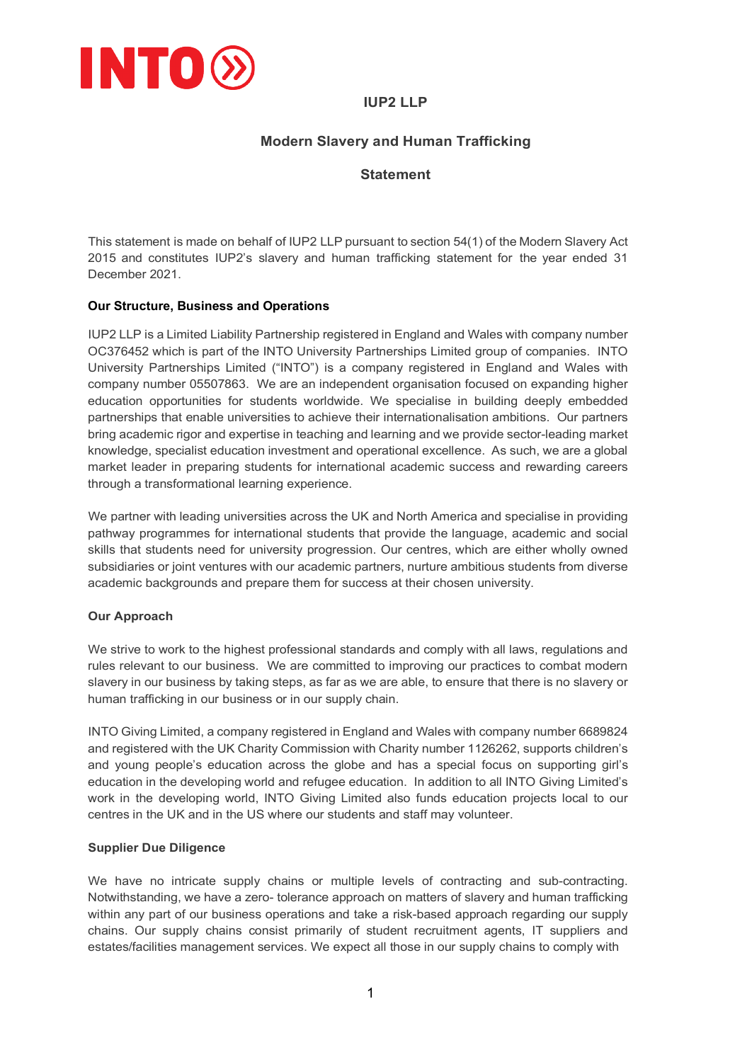

# **IUP2 LLP**

## **Modern Slavery and Human Trafficking**

### **Statement**

This statement is made on behalf of IUP2 LLP pursuant to section 54(1) of the Modern Slavery Act 2015 and constitutes IUP2's slavery and human trafficking statement for the year ended 31 December 2021.

### **Our Structure, Business and Operations**

IUP2 LLP is a Limited Liability Partnership registered in England and Wales with company number OC376452 which is part of the INTO University Partnerships Limited group of companies. INTO University Partnerships Limited ("INTO") is a company registered in England and Wales with company number 05507863. We are an independent organisation focused on expanding higher education opportunities for students worldwide. We specialise in building deeply embedded partnerships that enable universities to achieve their internationalisation ambitions. Our partners bring academic rigor and expertise in teaching and learning and we provide sector-leading market knowledge, specialist education investment and operational excellence. As such, we are a global market leader in preparing students for international academic success and rewarding careers through a transformational learning experience.

We partner with leading universities across the UK and North America and specialise in providing pathway programmes for international students that provide the language, academic and social skills that students need for university progression. Our centres, which are either wholly owned subsidiaries or joint ventures with our academic partners, nurture ambitious students from diverse academic backgrounds and prepare them for success at their chosen university.

### **Our Approach**

We strive to work to the highest professional standards and comply with all laws, regulations and rules relevant to our business. We are committed to improving our practices to combat modern slavery in our business by taking steps, as far as we are able, to ensure that there is no slavery or human trafficking in our business or in our supply chain.

INTO Giving Limited, a company registered in England and Wales with company number 6689824 and registered with the UK Charity Commission with Charity number 1126262, supports children's and young people's education across the globe and has a special focus on supporting girl's education in the developing world and refugee education. In addition to all INTO Giving Limited's work in the developing world, INTO Giving Limited also funds education projects local to our centres in the UK and in the US where our students and staff may volunteer.

#### **Supplier Due Diligence**

We have no intricate supply chains or multiple levels of contracting and sub-contracting. Notwithstanding, we have a zero- tolerance approach on matters of slavery and human trafficking within any part of our business operations and take a risk-based approach regarding our supply chains. Our supply chains consist primarily of student recruitment agents, IT suppliers and estates/facilities management services. We expect all those in our supply chains to comply with